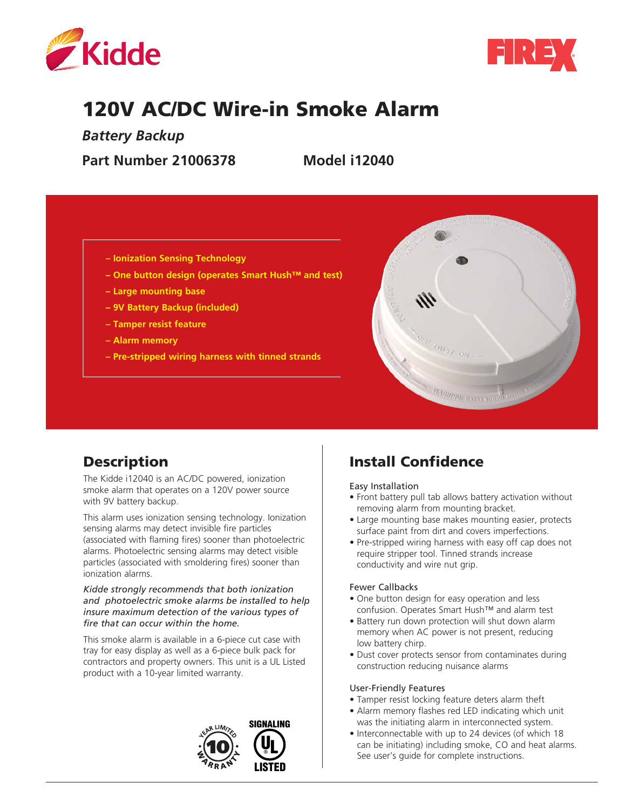



# 120V AC/DC Wire-in Smoke Alarm

*Battery Backup* 

**Part Number 21006378 Model i12040**

- **Ionization Sensing Technology**
- **One button design (operates Smart Hush™ and test)**
- **Large mounting base**
- **9V Battery Backup (included)**
- **Tamper resist feature**
- **Alarm memory**
- **Pre-stripped wiring harness with tinned strands**



# **Description**

The Kidde i12040 is an AC/DC powered, ionization smoke alarm that operates on a 120V power source with 9V battery backup.

This alarm uses ionization sensing technology. Ionization sensing alarms may detect invisible fire particles (associated with flaming fires) sooner than photoelectric alarms. Photoelectric sensing alarms may detect visible particles (associated with smoldering fires) sooner than ionization alarms.

#### *Kidde strongly recommends that both ionization and photoelectric smoke alarms be installed to help insure maximum detection of the various types of fire that can occur within the home.*

This smoke alarm is available in a 6-piece cut case with tray for easy display as well as a 6-piece bulk pack for contractors and property owners. This unit is a UL Listed product with a 10-year limited warranty.



# Install Confidence

Easy Installation

- Front battery pull tab allows battery activation without removing alarm from mounting bracket.
- Large mounting base makes mounting easier, protects surface paint from dirt and covers imperfections.
- Pre-stripped wiring harness with easy off cap does not require stripper tool. Tinned strands increase conductivity and wire nut grip.

#### Fewer Callbacks

- One button design for easy operation and less confusion. Operates Smart Hush™ and alarm test
- Battery run down protection will shut down alarm memory when AC power is not present, reducing low battery chirp.
- Dust cover protects sensor from contaminates during construction reducing nuisance alarms

#### User-Friendly Features

- Tamper resist locking feature deters alarm theft
- Alarm memory flashes red LED indicating which unit was the initiating alarm in interconnected system.
- Interconnectable with up to 24 devices (of which 18 can be initiating) including smoke, CO and heat alarms. See user's guide for complete instructions.